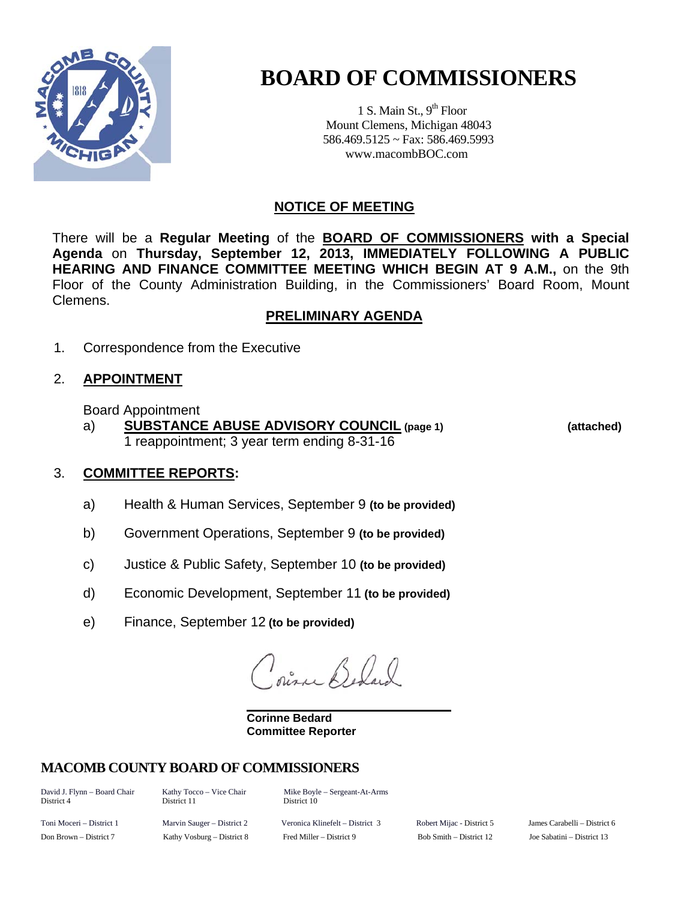

# **BOARD OF COMMISSIONERS**

1 S. Main St.,  $9<sup>th</sup>$  Floor Mount Clemens, Michigan 48043 586.469.5125 ~ Fax: 586.469.5993 www.macombBOC.com

#### **NOTICE OF MEETING**

There will be a **Regular Meeting** of the **BOARD OF COMMISSIONERS with a Special Agenda** on **Thursday, September 12, 2013, IMMEDIATELY FOLLOWING A PUBLIC HEARING AND FINANCE COMMITTEE MEETING WHICH BEGIN AT 9 A.M.,** on the 9th Floor of the County Administration Building, in the Commissioners' Board Room, Mount Clemens.

#### **PRELIMINARY AGENDA**

1. Correspondence from the Executive

## 2. **APPOINTMENT**

Board Appointment

 a) **SUBSTANCE ABUSE ADVISORY COUNCIL (page 1) (attached)** 1 reappointment; 3 year term ending 8-31-16

## 3. **COMMITTEE REPORTS:**

- a) Health & Human Services, September 9 **(to be provided)**
- b) Government Operations, September 9 **(to be provided)**
- c) Justice & Public Safety, September 10 **(to be provided)**
- d) Economic Development, September 11 **(to be provided)**
- e) Finance, September 12 **(to be provided)**

Pine Belger

 **Corinne Bedard Committee Reporter** 

## **MACOMB COUNTY BOARD OF COMMISSIONERS**

District 4 District 11 District 10

David J. Flynn – Board Chair Kathy Tocco – Vice Chair Mike Boyle – Sergeant-At-Arms

Toni Moceri – District 1 Marvin Sauger – District 2 Veronica Klinefelt – District 3 Robert Mijac - District 5 James Carabelli – District 6 Don Brown – District 7 Kathy Vosburg – District 8 Fred Miller – District 9 Bob Smith – District 12 Joe Sabatini – District 13